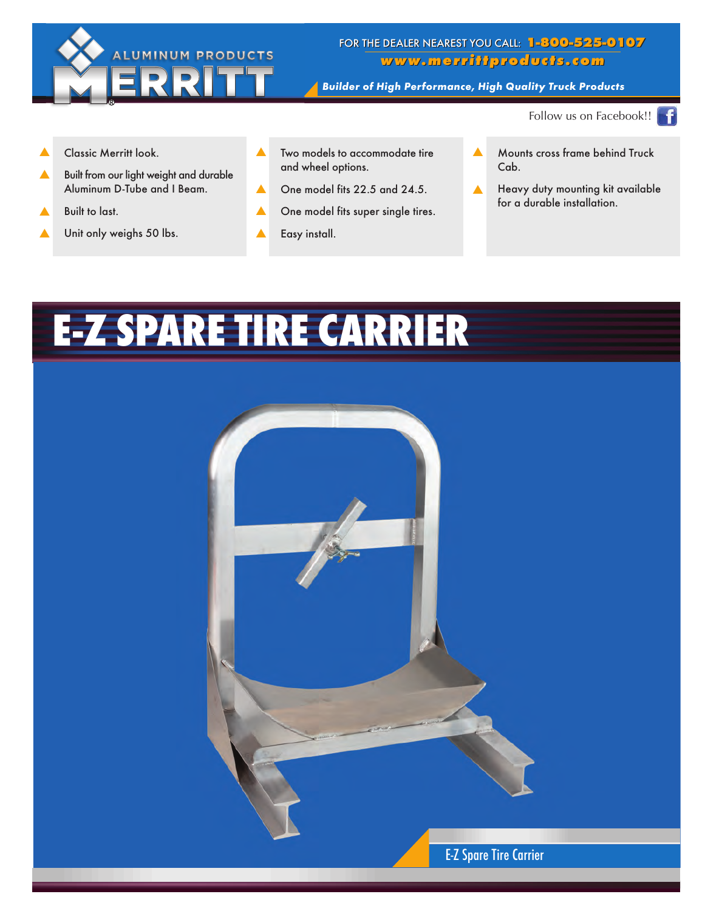

## FOR THE DEALER NEAREST YOU CALL: 1-800-525-0107 www.merrittproducts.com

Builder of High Performance, High Quality Truck Products

Follow us on Facebook!!

- Classic Merritt look. ▲
- Built from our light weight and durable Aluminum D-Tube and I Beam. ▲
- Built to last. ▲
- Unit only weighs 50 lbs. ▲
- Two models to accommodate tire and wheel options. ▲
- One model fits 22.5 and 24.5. ▲
- One model fits super single tires. ▲
- Easy install. ▲
- Mounts cross frame behind Truck Cab. ▲
- Heavy duty mounting kit available for a durable installation. ▲

## E-Z SPARE TIRE CARRIER